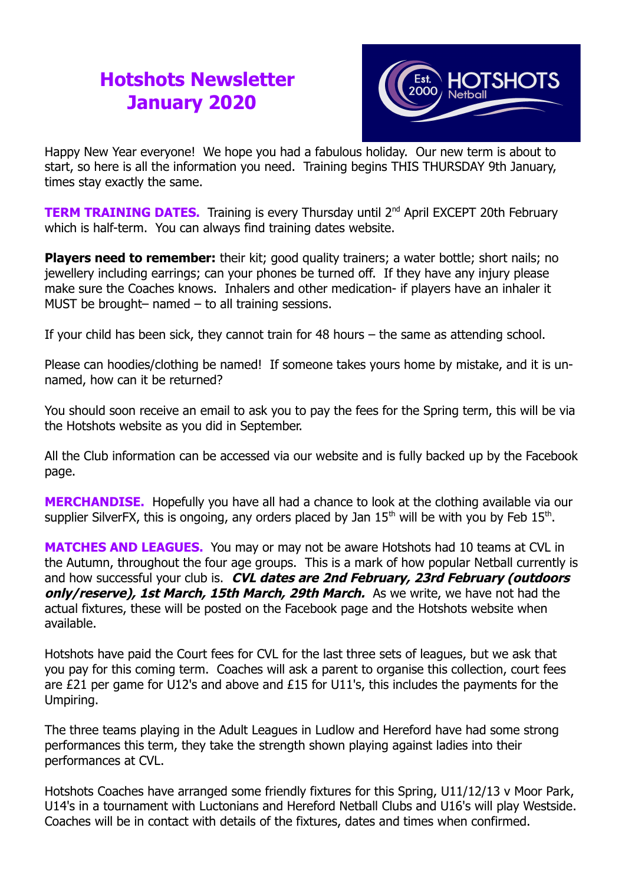## **Hotshots Newsletter January 2020**



Happy New Year everyone! We hope you had a fabulous holiday. Our new term is about to start, so here is all the information you need. Training begins THIS THURSDAY 9th January, times stay exactly the same.

**TERM TRAINING DATES.** Training is every Thursday until 2<sup>nd</sup> April EXCEPT 20th February which is half-term. You can always find training dates website.

**Players need to remember:** their kit; good quality trainers; a water bottle; short nails; no jewellery including earrings; can your phones be turned off. If they have any injury please make sure the Coaches knows. Inhalers and other medication- if players have an inhaler it MUST be brought– named – to all training sessions.

If your child has been sick, they cannot train for 48 hours – the same as attending school.

Please can hoodies/clothing be named! If someone takes yours home by mistake, and it is unnamed, how can it be returned?

You should soon receive an email to ask you to pay the fees for the Spring term, this will be via the Hotshots website as you did in September.

All the Club information can be accessed via our website and is fully backed up by the Facebook page.

**MERCHANDISE.** Hopefully you have all had a chance to look at the clothing available via our supplier SilverFX, this is ongoing, any orders placed by Jan  $15<sup>th</sup>$  will be with you by Feb  $15<sup>th</sup>$ .

**MATCHES AND LEAGUES.** You may or may not be aware Hotshots had 10 teams at CVL in the Autumn, throughout the four age groups. This is a mark of how popular Netball currently is and how successful your club is. **CVL dates are 2nd February, 23rd February (outdoors only/reserve), 1st March, 15th March, 29th March.** As we write, we have not had the actual fixtures, these will be posted on the Facebook page and the Hotshots website when available.

Hotshots have paid the Court fees for CVL for the last three sets of leagues, but we ask that you pay for this coming term. Coaches will ask a parent to organise this collection, court fees are £21 per game for U12's and above and £15 for U11's, this includes the payments for the Umpiring.

The three teams playing in the Adult Leagues in Ludlow and Hereford have had some strong performances this term, they take the strength shown playing against ladies into their performances at CVL.

Hotshots Coaches have arranged some friendly fixtures for this Spring, U11/12/13 v Moor Park, U14's in a tournament with Luctonians and Hereford Netball Clubs and U16's will play Westside. Coaches will be in contact with details of the fixtures, dates and times when confirmed.